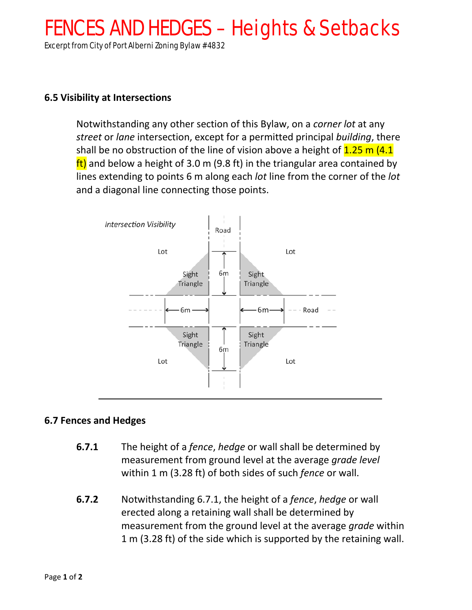## FENCES AND HEDGES – Heights & Setbacks

Excerpt from City of Port Alberni Zoning Bylaw #4832

## **6.5 Visibility at Intersections**

Notwithstanding any other section of this Bylaw, on a *corner lot* at any *street* or *lane* intersection, except for a permitted principal *building*, there shall be no obstruction of the line of vision above a height of  $1.25$  m (4.1)  $f(t)$  and below a height of 3.0 m (9.8 ft) in the triangular area contained by lines extending to points 6 m along each *lot* line from the corner of the *lot* and a diagonal line connecting those points.



## **6.7 Fences and Hedges**

- **6.7.1** The height of a *fence*, *hedge* or wall shall be determined by measurement from ground level at the average *grade level* within 1 m (3.28 ft) of both sides of such *fence* or wall.
- **6.7.2** Notwithstanding 6.7.1, the height of a *fence*, *hedge* or wall erected along a retaining wall shall be determined by measurement from the ground level at the average *grade* within 1 m (3.28 ft) of the side which is supported by the retaining wall.